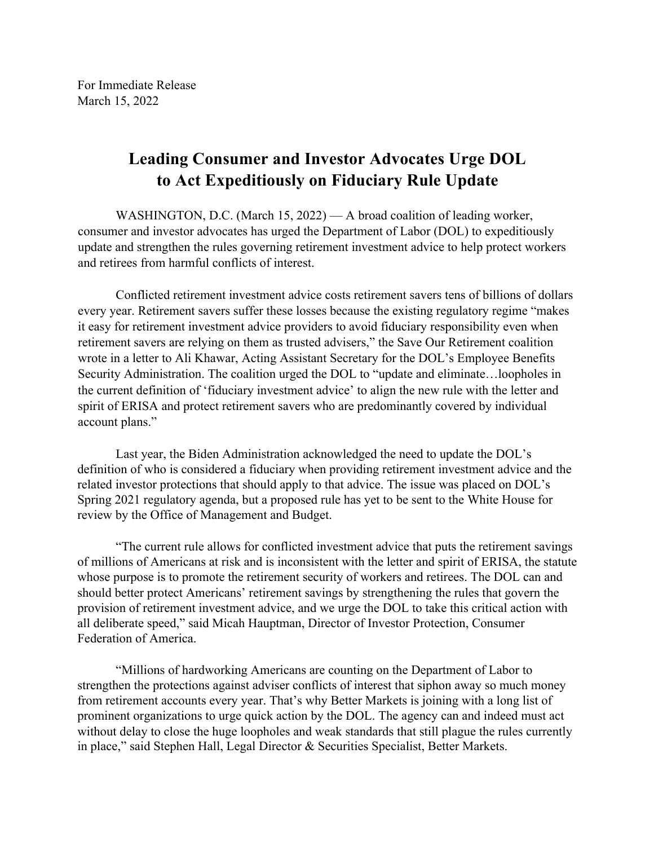## **Leading Consumer and Investor Advocates Urge DOL to Act Expeditiously on Fiduciary Rule Update**

WASHINGTON, D.C. (March 15, 2022) — A broad coalition of leading worker, consumer and investor advocates has urged the Department of Labor (DOL) to expeditiously update and strengthen the rules governing retirement investment advice to help protect workers and retirees from harmful conflicts of interest.

Conflicted retirement investment advice costs retirement savers tens of billions of dollars every year. Retirement savers suffer these losses because the existing regulatory regime "makes it easy for retirement investment advice providers to avoid fiduciary responsibility even when retirement savers are relying on them as trusted advisers," the Save Our Retirement coalition wrote in a letter to Ali Khawar, Acting Assistant Secretary for the DOL's Employee Benefits Security Administration. The coalition urged the DOL to "update and eliminate…loopholes in the current definition of 'fiduciary investment advice' to align the new rule with the letter and spirit of ERISA and protect retirement savers who are predominantly covered by individual account plans."

Last year, the Biden Administration acknowledged the need to update the DOL's definition of who is considered a fiduciary when providing retirement investment advice and the related investor protections that should apply to that advice. The issue was placed on DOL's Spring 2021 regulatory agenda, but a proposed rule has yet to be sent to the White House for review by the Office of Management and Budget.

"The current rule allows for conflicted investment advice that puts the retirement savings of millions of Americans at risk and is inconsistent with the letter and spirit of ERISA, the statute whose purpose is to promote the retirement security of workers and retirees. The DOL can and should better protect Americans' retirement savings by strengthening the rules that govern the provision of retirement investment advice, and we urge the DOL to take this critical action with all deliberate speed," said Micah Hauptman, Director of Investor Protection, Consumer Federation of America.

"Millions of hardworking Americans are counting on the Department of Labor to strengthen the protections against adviser conflicts of interest that siphon away so much money from retirement accounts every year. That's why Better Markets is joining with a long list of prominent organizations to urge quick action by the DOL. The agency can and indeed must act without delay to close the huge loopholes and weak standards that still plague the rules currently in place," said Stephen Hall, Legal Director & Securities Specialist, Better Markets.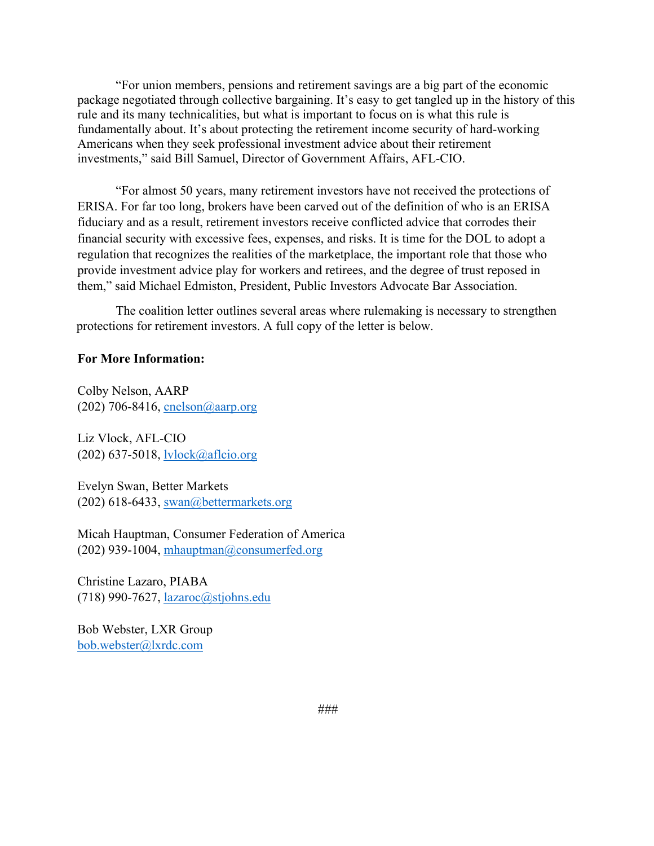"For union members, pensions and retirement savings are a big part of the economic package negotiated through collective bargaining. It's easy to get tangled up in the history of this rule and its many technicalities, but what is important to focus on is what this rule is fundamentally about. It's about protecting the retirement income security of hard-working Americans when they seek professional investment advice about their retirement investments," said Bill Samuel, Director of Government Affairs, AFL-CIO.

"For almost 50 years, many retirement investors have not received the protections of ERISA. For far too long, brokers have been carved out of the definition of who is an ERISA fiduciary and as a result, retirement investors receive conflicted advice that corrodes their financial security with excessive fees, expenses, and risks. It is time for the DOL to adopt a regulation that recognizes the realities of the marketplace, the important role that those who provide investment advice play for workers and retirees, and the degree of trust reposed in them," said Michael Edmiston, President, Public Investors Advocate Bar Association.

The coalition letter outlines several areas where rulemaking is necessary to strengthen protections for retirement investors. A full copy of the letter is below.

## **For More Information:**

Colby Nelson, AARP (202) 706-8416, cnelson@aarp.org

Liz Vlock, AFL-CIO (202) 637-5018, lvlock@aflcio.org

Evelyn Swan, Better Markets (202) 618-6433, swan@bettermarkets.org

Micah Hauptman, Consumer Federation of America (202) 939-1004, mhauptman@consumerfed.org

Christine Lazaro, PIABA (718) 990-7627, lazaroc@stjohns.edu

Bob Webster, LXR Group bob.webster@lxrdc.com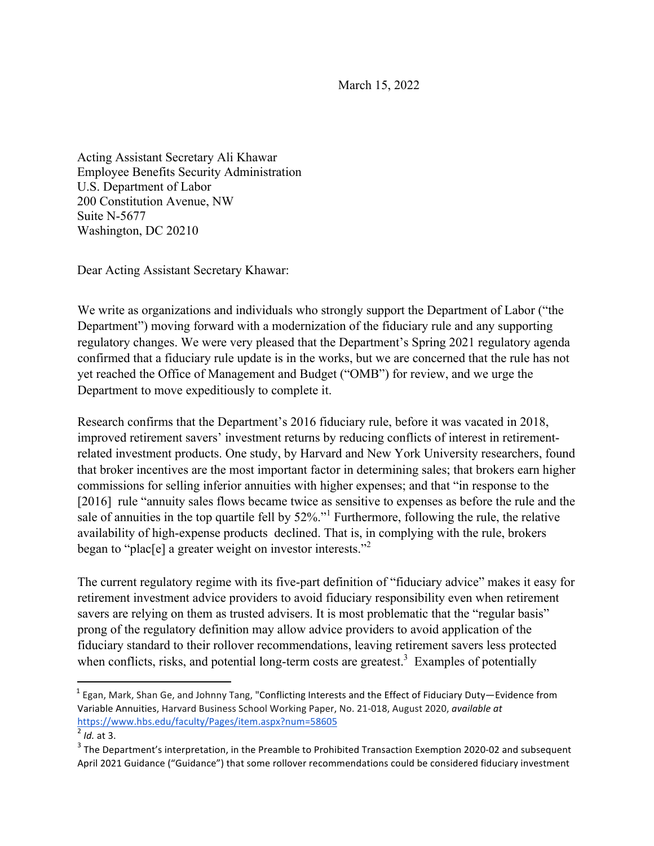March 15, 2022

Acting Assistant Secretary Ali Khawar Employee Benefits Security Administration U.S. Department of Labor 200 Constitution Avenue, NW Suite N-5677 Washington, DC 20210

Dear Acting Assistant Secretary Khawar:

We write as organizations and individuals who strongly support the Department of Labor ("the Department") moving forward with a modernization of the fiduciary rule and any supporting regulatory changes. We were very pleased that the Department's Spring 2021 regulatory agenda confirmed that a fiduciary rule update is in the works, but we are concerned that the rule has not yet reached the Office of Management and Budget ("OMB") for review, and we urge the Department to move expeditiously to complete it.

Research confirms that the Department's 2016 fiduciary rule, before it was vacated in 2018, improved retirement savers' investment returns by reducing conflicts of interest in retirementrelated investment products. One study, by Harvard and New York University researchers, found that broker incentives are the most important factor in determining sales; that brokers earn higher commissions for selling inferior annuities with higher expenses; and that "in response to the [2016] rule "annuity sales flows became twice as sensitive to expenses as before the rule and the sale of annuities in the top quartile fell by 52%."<sup>1</sup> Furthermore, following the rule, the relative availability of high-expense products declined. That is, in complying with the rule, brokers began to "plac[e] a greater weight on investor interests."<sup>2</sup>

The current regulatory regime with its five-part definition of "fiduciary advice" makes it easy for retirement investment advice providers to avoid fiduciary responsibility even when retirement savers are relying on them as trusted advisers. It is most problematic that the "regular basis" prong of the regulatory definition may allow advice providers to avoid application of the fiduciary standard to their rollover recommendations, leaving retirement savers less protected when conflicts, risks, and potential long-term costs are greatest.<sup>3</sup> Examples of potentially

<u> 1989 - Johann Stein, markin film yn y breninn y breninn y breninn y breninn y breninn y breninn y breninn y b</u>

 $1$  Egan, Mark, Shan Ge, and Johnny Tang, "Conflicting Interests and the Effect of Fiduciary Duty—Evidence from Variable Annuities, Harvard Business School Working Paper, No. 21-018, August 2020, *available at* https://www.hbs.edu/faculty/Pages/item.aspx?num=58605

 $^{2}$  *Id.* at 3.

 $3$  The Department's interpretation, in the Preamble to Prohibited Transaction Exemption 2020-02 and subsequent April 2021 Guidance ("Guidance") that some rollover recommendations could be considered fiduciary investment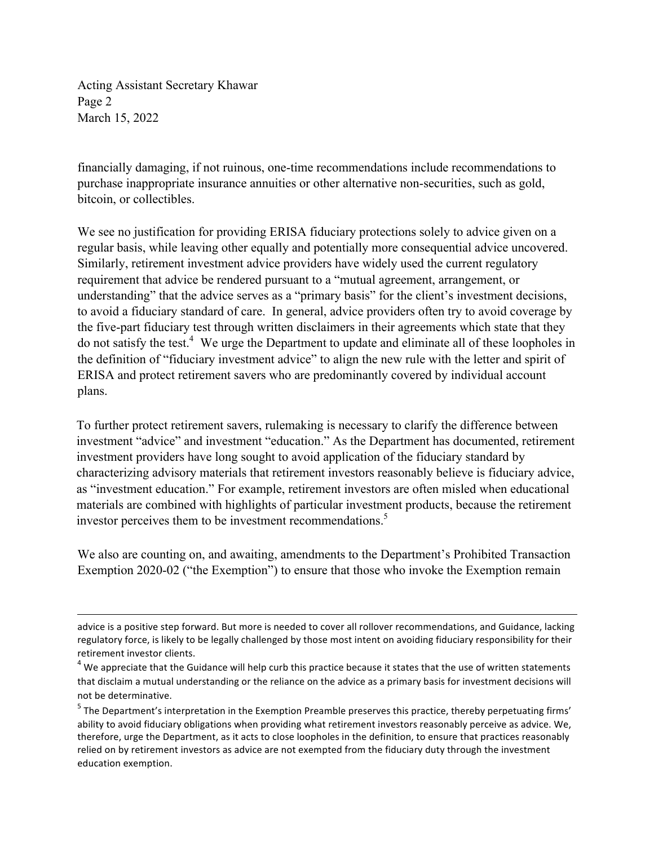Acting Assistant Secretary Khawar Page 2 March 15, 2022

financially damaging, if not ruinous, one-time recommendations include recommendations to purchase inappropriate insurance annuities or other alternative non-securities, such as gold, bitcoin, or collectibles.

We see no justification for providing ERISA fiduciary protections solely to advice given on a regular basis, while leaving other equally and potentially more consequential advice uncovered. Similarly, retirement investment advice providers have widely used the current regulatory requirement that advice be rendered pursuant to a "mutual agreement, arrangement, or understanding" that the advice serves as a "primary basis" for the client's investment decisions, to avoid a fiduciary standard of care. In general, advice providers often try to avoid coverage by the five-part fiduciary test through written disclaimers in their agreements which state that they do not satisfy the test.<sup>4</sup> We urge the Department to update and eliminate all of these loopholes in the definition of "fiduciary investment advice" to align the new rule with the letter and spirit of ERISA and protect retirement savers who are predominantly covered by individual account plans.

To further protect retirement savers, rulemaking is necessary to clarify the difference between investment "advice" and investment "education." As the Department has documented, retirement investment providers have long sought to avoid application of the fiduciary standard by characterizing advisory materials that retirement investors reasonably believe is fiduciary advice, as "investment education." For example, retirement investors are often misled when educational materials are combined with highlights of particular investment products, because the retirement investor perceives them to be investment recommendations.<sup>5</sup>

We also are counting on, and awaiting, amendments to the Department's Prohibited Transaction Exemption 2020-02 ("the Exemption") to ensure that those who invoke the Exemption remain

<u> 1989 - Johann Stoff, fransk politik (f. 1989)</u>

advice is a positive step forward. But more is needed to cover all rollover recommendations, and Guidance, lacking regulatory force, is likely to be legally challenged by those most intent on avoiding fiduciary responsibility for their retirement investor clients.

 $4$  We appreciate that the Guidance will help curb this practice because it states that the use of written statements that disclaim a mutual understanding or the reliance on the advice as a primary basis for investment decisions will not be determinative.

 $5$  The Department's interpretation in the Exemption Preamble preserves this practice, thereby perpetuating firms' ability to avoid fiduciary obligations when providing what retirement investors reasonably perceive as advice. We, therefore, urge the Department, as it acts to close loopholes in the definition, to ensure that practices reasonably relied on by retirement investors as advice are not exempted from the fiduciary duty through the investment education exemption.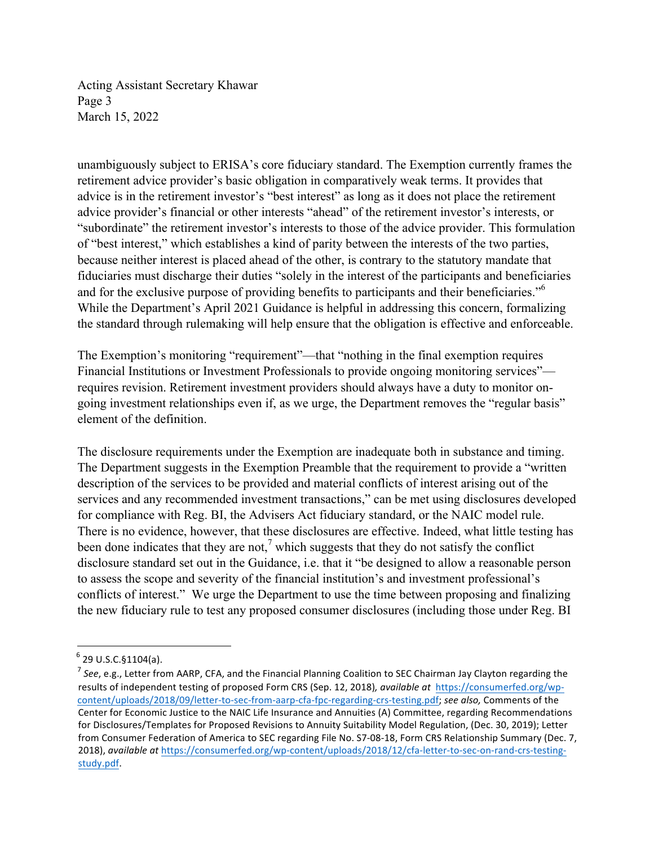Acting Assistant Secretary Khawar Page 3 March 15, 2022

unambiguously subject to ERISA's core fiduciary standard. The Exemption currently frames the retirement advice provider's basic obligation in comparatively weak terms. It provides that advice is in the retirement investor's "best interest" as long as it does not place the retirement advice provider's financial or other interests "ahead" of the retirement investor's interests, or "subordinate" the retirement investor's interests to those of the advice provider. This formulation of "best interest," which establishes a kind of parity between the interests of the two parties, because neither interest is placed ahead of the other, is contrary to the statutory mandate that fiduciaries must discharge their duties "solely in the interest of the participants and beneficiaries and for the exclusive purpose of providing benefits to participants and their beneficiaries."6 While the Department's April 2021 Guidance is helpful in addressing this concern, formalizing the standard through rulemaking will help ensure that the obligation is effective and enforceable.

The Exemption's monitoring "requirement"—that "nothing in the final exemption requires Financial Institutions or Investment Professionals to provide ongoing monitoring services" requires revision. Retirement investment providers should always have a duty to monitor ongoing investment relationships even if, as we urge, the Department removes the "regular basis" element of the definition.

The disclosure requirements under the Exemption are inadequate both in substance and timing. The Department suggests in the Exemption Preamble that the requirement to provide a "written description of the services to be provided and material conflicts of interest arising out of the services and any recommended investment transactions," can be met using disclosures developed for compliance with Reg. BI, the Advisers Act fiduciary standard, or the NAIC model rule. There is no evidence, however, that these disclosures are effective. Indeed, what little testing has been done indicates that they are not,<sup>7</sup> which suggests that they do not satisfy the conflict disclosure standard set out in the Guidance, i.e. that it "be designed to allow a reasonable person to assess the scope and severity of the financial institution's and investment professional's conflicts of interest." We urge the Department to use the time between proposing and finalizing the new fiduciary rule to test any proposed consumer disclosures (including those under Reg. BI

<u> 1989 - Johann Stein, markin film yn y breninn y breninn y breninn y breninn y breninn y breninn y breninn y b</u>

 $6$  29 U.S.C.§1104(a).

 $^7$  See, e.g., Letter from AARP, CFA, and the Financial Planning Coalition to SEC Chairman Jay Clayton regarding the results of independent testing of proposed Form CRS (Sep. 12, 2018), available at https://consumerfed.org/wpcontent/uploads/2018/09/letter-to-sec-from-aarp-cfa-fpc-regarding-crs-testing.pdf; see also, Comments of the Center for Economic Justice to the NAIC Life Insurance and Annuities (A) Committee, regarding Recommendations for Disclosures/Templates for Proposed Revisions to Annuity Suitability Model Regulation, (Dec. 30, 2019); Letter from Consumer Federation of America to SEC regarding File No. S7-08-18, Form CRS Relationship Summary (Dec. 7, 2018), *available at https://consumerfed.org/wp-content/uploads/2018/12/cfa-letter-to-sec-on-rand-crs-testing*study.pdf.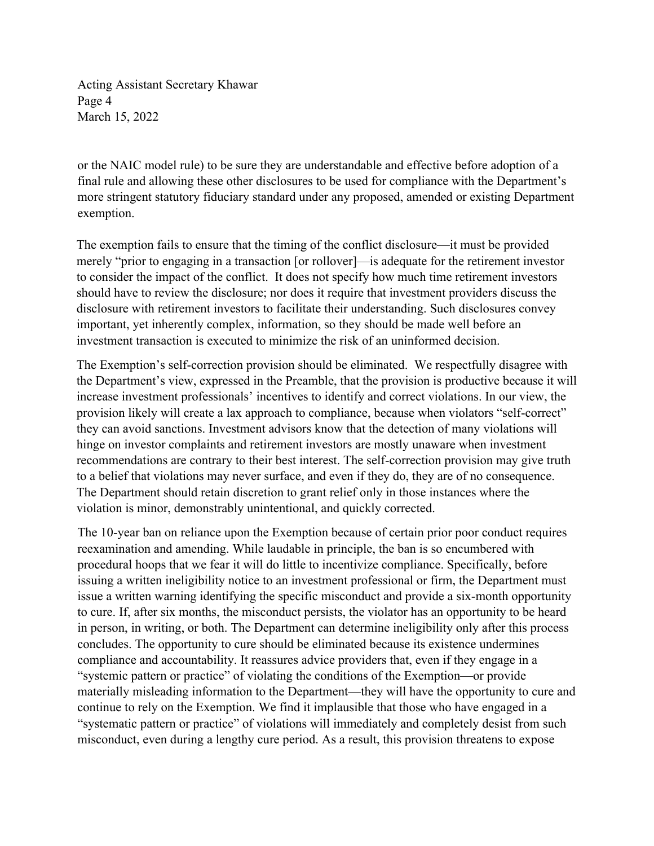Acting Assistant Secretary Khawar Page 4 March 15, 2022

or the NAIC model rule) to be sure they are understandable and effective before adoption of a final rule and allowing these other disclosures to be used for compliance with the Department's more stringent statutory fiduciary standard under any proposed, amended or existing Department exemption.

The exemption fails to ensure that the timing of the conflict disclosure—it must be provided merely "prior to engaging in a transaction [or rollover]—is adequate for the retirement investor to consider the impact of the conflict. It does not specify how much time retirement investors should have to review the disclosure; nor does it require that investment providers discuss the disclosure with retirement investors to facilitate their understanding. Such disclosures convey important, yet inherently complex, information, so they should be made well before an investment transaction is executed to minimize the risk of an uninformed decision.

The Exemption's self-correction provision should be eliminated. We respectfully disagree with the Department's view, expressed in the Preamble, that the provision is productive because it will increase investment professionals' incentives to identify and correct violations. In our view, the provision likely will create a lax approach to compliance, because when violators "self-correct" they can avoid sanctions. Investment advisors know that the detection of many violations will hinge on investor complaints and retirement investors are mostly unaware when investment recommendations are contrary to their best interest. The self-correction provision may give truth to a belief that violations may never surface, and even if they do, they are of no consequence. The Department should retain discretion to grant relief only in those instances where the violation is minor, demonstrably unintentional, and quickly corrected.

The 10-year ban on reliance upon the Exemption because of certain prior poor conduct requires reexamination and amending. While laudable in principle, the ban is so encumbered with procedural hoops that we fear it will do little to incentivize compliance. Specifically, before issuing a written ineligibility notice to an investment professional or firm, the Department must issue a written warning identifying the specific misconduct and provide a six-month opportunity to cure. If, after six months, the misconduct persists, the violator has an opportunity to be heard in person, in writing, or both. The Department can determine ineligibility only after this process concludes. The opportunity to cure should be eliminated because its existence undermines compliance and accountability. It reassures advice providers that, even if they engage in a "systemic pattern or practice" of violating the conditions of the Exemption—or provide materially misleading information to the Department—they will have the opportunity to cure and continue to rely on the Exemption. We find it implausible that those who have engaged in a "systematic pattern or practice" of violations will immediately and completely desist from such misconduct, even during a lengthy cure period. As a result, this provision threatens to expose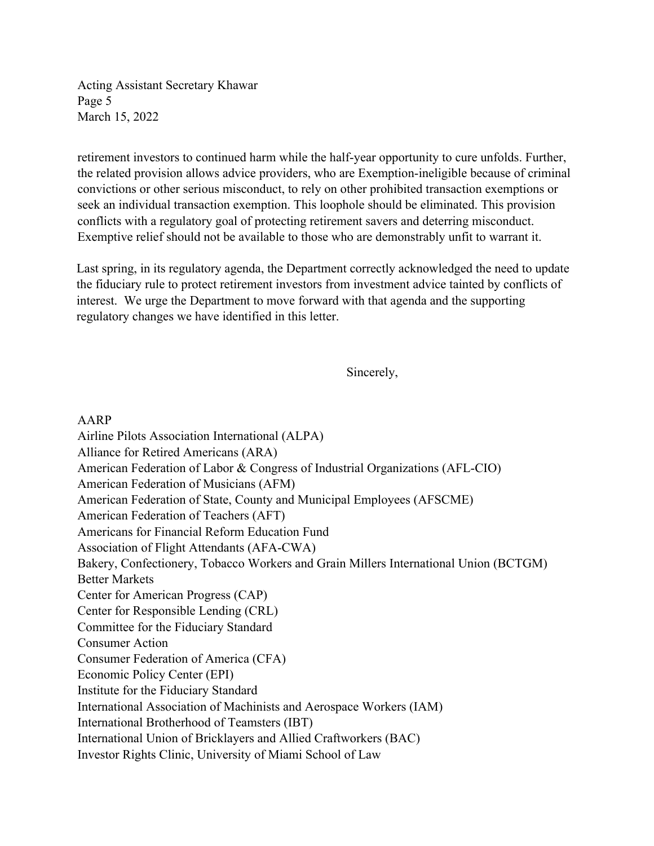Acting Assistant Secretary Khawar Page 5 March 15, 2022

retirement investors to continued harm while the half-year opportunity to cure unfolds. Further, the related provision allows advice providers, who are Exemption-ineligible because of criminal convictions or other serious misconduct, to rely on other prohibited transaction exemptions or seek an individual transaction exemption. This loophole should be eliminated. This provision conflicts with a regulatory goal of protecting retirement savers and deterring misconduct. Exemptive relief should not be available to those who are demonstrably unfit to warrant it.

Last spring, in its regulatory agenda, the Department correctly acknowledged the need to update the fiduciary rule to protect retirement investors from investment advice tainted by conflicts of interest. We urge the Department to move forward with that agenda and the supporting regulatory changes we have identified in this letter.

Sincerely,

## AARP

Airline Pilots Association International (ALPA) Alliance for Retired Americans (ARA) American Federation of Labor & Congress of Industrial Organizations (AFL-CIO) American Federation of Musicians (AFM) American Federation of State, County and Municipal Employees (AFSCME) American Federation of Teachers (AFT) Americans for Financial Reform Education Fund Association of Flight Attendants (AFA-CWA) Bakery, Confectionery, Tobacco Workers and Grain Millers International Union (BCTGM) Better Markets Center for American Progress (CAP) Center for Responsible Lending (CRL) Committee for the Fiduciary Standard Consumer Action Consumer Federation of America (CFA) Economic Policy Center (EPI) Institute for the Fiduciary Standard International Association of Machinists and Aerospace Workers (IAM) International Brotherhood of Teamsters (IBT) International Union of Bricklayers and Allied Craftworkers (BAC) Investor Rights Clinic, University of Miami School of Law